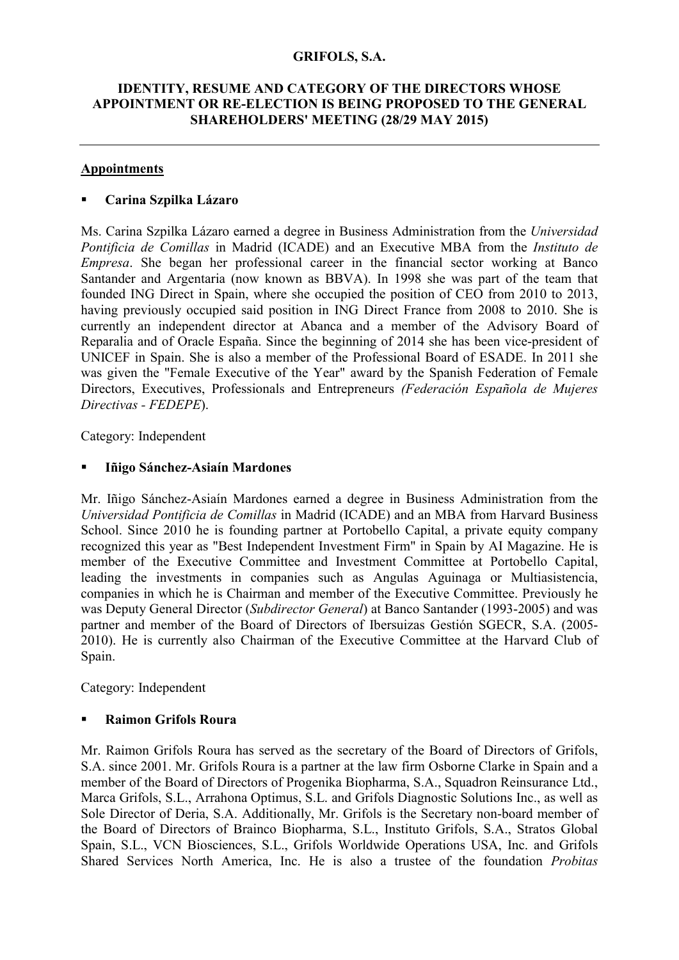### **GRIFOLS, S.A.**

### **IDENTITY, RESUME AND CATEGORY OF THE DIRECTORS WHOSE APPOINTMENT OR RE-ELECTION IS BEING PROPOSED TO THE GENERAL SHAREHOLDERS' MEETING (28/29 MAY 2015)**

#### **Appointments**

#### **Carina Szpilka Lázaro**

Ms. Carina Szpilka Lázaro earned a degree in Business Administration from the *Universidad Pontificia de Comillas* in Madrid (ICADE) and an Executive MBA from the *Instituto de Empresa*. She began her professional career in the financial sector working at Banco Santander and Argentaria (now known as BBVA). In 1998 she was part of the team that founded ING Direct in Spain, where she occupied the position of CEO from 2010 to 2013, having previously occupied said position in ING Direct France from 2008 to 2010. She is currently an independent director at Abanca and a member of the Advisory Board of Reparalia and of Oracle España. Since the beginning of 2014 she has been vice-president of UNICEF in Spain. She is also a member of the Professional Board of ESADE. In 2011 she was given the "Female Executive of the Year" award by the Spanish Federation of Female Directors, Executives, Professionals and Entrepreneurs *(Federación Española de Mujeres Directivas - FEDEPE*).

Category: Independent

### **Iñigo Sánchez-Asiaín Mardones**

Mr. Iñigo Sánchez-Asiaín Mardones earned a degree in Business Administration from the *Universidad Pontificia de Comillas* in Madrid (ICADE) and an MBA from Harvard Business School. Since 2010 he is founding partner at Portobello Capital, a private equity company recognized this year as "Best Independent Investment Firm" in Spain by AI Magazine. He is member of the Executive Committee and Investment Committee at Portobello Capital, leading the investments in companies such as Angulas Aguinaga or Multiasistencia, companies in which he is Chairman and member of the Executive Committee. Previously he was Deputy General Director (*Subdirector General*) at Banco Santander (1993-2005) and was partner and member of the Board of Directors of Ibersuizas Gestión SGECR, S.A. (2005- 2010). He is currently also Chairman of the Executive Committee at the Harvard Club of Spain.

Category: Independent

### **Raimon Grifols Roura**

Mr. Raimon Grifols Roura has served as the secretary of the Board of Directors of Grifols, S.A. since 2001. Mr. Grifols Roura is a partner at the law firm Osborne Clarke in Spain and a member of the Board of Directors of Progenika Biopharma, S.A., Squadron Reinsurance Ltd., Marca Grifols, S.L., Arrahona Optimus, S.L. and Grifols Diagnostic Solutions Inc., as well as Sole Director of Deria, S.A. Additionally, Mr. Grifols is the Secretary non-board member of the Board of Directors of Brainco Biopharma, S.L., Instituto Grifols, S.A., Stratos Global Spain, S.L., VCN Biosciences, S.L., Grifols Worldwide Operations USA, Inc. and Grifols Shared Services North America, Inc. He is also a trustee of the foundation *Probitas*